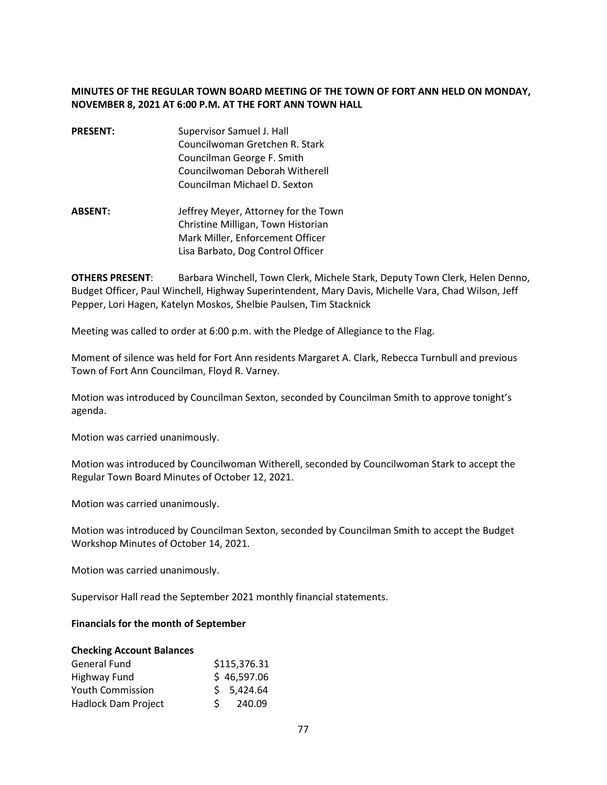## **MINUTES OF THE REGULAR TOWN BOARD MEETING OF THE TOWN OF FORT ANN HELD ON MONDAY, NOVEMBER 8, 2021 AT 6:00 P.M. AT THE FORT ANN TOWN HALL**

- **PRESENT:** Supervisor Samuel J. Hall Councilwoman Gretchen R. Stark Councilman George F. Smith Councilwoman Deborah Witherell Councilman Michael D. Sexton
- **ABSENT:** Jeffrey Meyer, Attorney for the Town Christine Milligan, Town Historian Mark Miller, Enforcement Officer Lisa Barbato, Dog Control Officer

**OTHERS PRESENT**: Barbara Winchell, Town Clerk, Michele Stark, Deputy Town Clerk, Helen Denno, Budget Officer, Paul Winchell, Highway Superintendent, Mary Davis, Michelle Vara, Chad Wilson, Jeff Pepper, Lori Hagen, Katelyn Moskos, Shelbie Paulsen, Tim Stacknick

Meeting was called to order at 6:00 p.m. with the Pledge of Allegiance to the Flag.

Moment of silence was held for Fort Ann residents Margaret A. Clark, Rebecca Turnbull and previous Town of Fort Ann Councilman, Floyd R. Varney.

Motion was introduced by Councilman Sexton, seconded by Councilman Smith to approve tonight's agenda.

Motion was carried unanimously.

Motion was introduced by Councilwoman Witherell, seconded by Councilwoman Stark to accept the Regular Town Board Minutes of October 12, 2021.

Motion was carried unanimously.

Motion was introduced by Councilman Sexton, seconded by Councilman Smith to accept the Budget Workshop Minutes of October 14, 2021.

Motion was carried unanimously.

Supervisor Hall read the September 2021 monthly financial statements.

#### **Financials for the month of September**

#### **Checking Account Balances**

| General Fund               | \$115,376.31 |
|----------------------------|--------------|
| Highway Fund               | \$46,597.06  |
| <b>Youth Commission</b>    | \$5,424.64   |
| <b>Hadlock Dam Project</b> | 240.09       |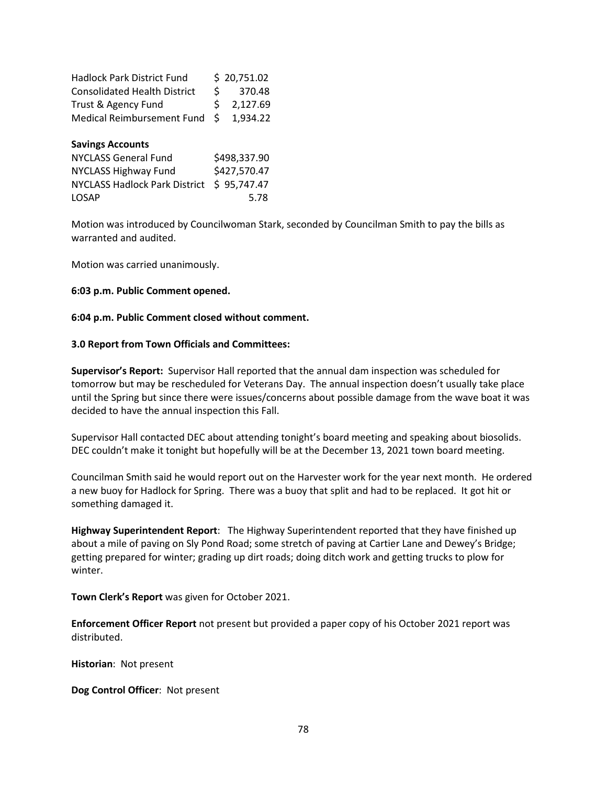| <b>Hadlock Park District Fund</b>    |              | \$20,751.02  |
|--------------------------------------|--------------|--------------|
| <b>Consolidated Health District</b>  | \$           | 370.48       |
| Trust & Agency Fund                  | Ś            | 2,127.69     |
| <b>Medical Reimbursement Fund</b>    | Ś.           | 1,934.22     |
| <b>Savings Accounts</b>              |              |              |
| <b>NYCLASS General Fund</b>          |              | \$498,337.90 |
| <b>NYCLASS Highway Fund</b>          | \$427,570.47 |              |
| <b>NYCLASS Hadlock Park District</b> |              | \$95,747.47  |
| <b>LOSAP</b>                         |              | 5.78         |

Motion was introduced by Councilwoman Stark, seconded by Councilman Smith to pay the bills as warranted and audited.

Motion was carried unanimously.

### **6:03 p.m. Public Comment opened.**

### **6:04 p.m. Public Comment closed without comment.**

#### **3.0 Report from Town Officials and Committees:**

**Supervisor's Report:** Supervisor Hall reported that the annual dam inspection was scheduled for tomorrow but may be rescheduled for Veterans Day. The annual inspection doesn't usually take place until the Spring but since there were issues/concerns about possible damage from the wave boat it was decided to have the annual inspection this Fall.

Supervisor Hall contacted DEC about attending tonight's board meeting and speaking about biosolids. DEC couldn't make it tonight but hopefully will be at the December 13, 2021 town board meeting.

Councilman Smith said he would report out on the Harvester work for the year next month. He ordered a new buoy for Hadlock for Spring. There was a buoy that split and had to be replaced. It got hit or something damaged it.

**Highway Superintendent Report**: The Highway Superintendent reported that they have finished up about a mile of paving on Sly Pond Road; some stretch of paving at Cartier Lane and Dewey's Bridge; getting prepared for winter; grading up dirt roads; doing ditch work and getting trucks to plow for winter.

**Town Clerk's Report** was given for October 2021.

**Enforcement Officer Report** not present but provided a paper copy of his October 2021 report was distributed.

**Historian**: Not present

**Dog Control Officer**: Not present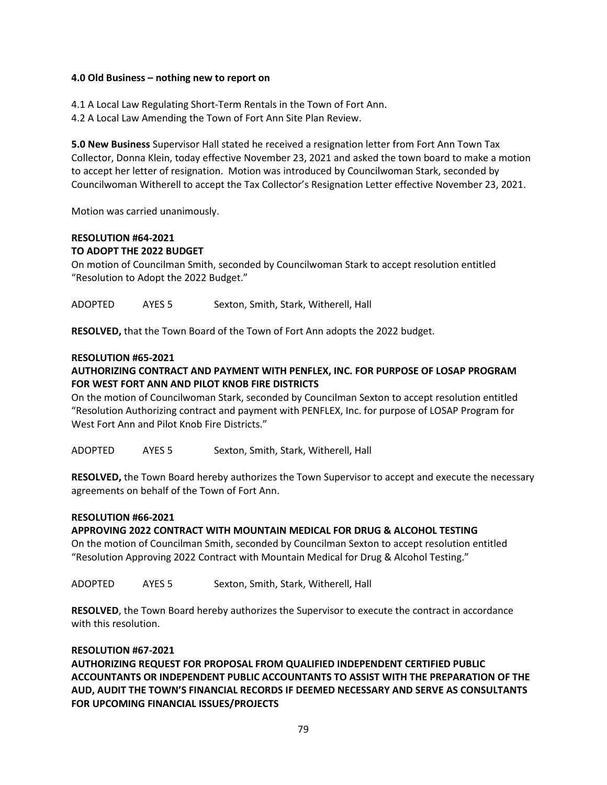### **4.0 Old Business – nothing new to report on**

4.1 A Local Law Regulating Short-Term Rentals in the Town of Fort Ann.

4.2 A Local Law Amending the Town of Fort Ann Site Plan Review.

**5.0 New Business** Supervisor Hall stated he received a resignation letter from Fort Ann Town Tax Collector, Donna Klein, today effective November 23, 2021 and asked the town board to make a motion to accept her letter of resignation. Motion was introduced by Councilwoman Stark, seconded by Councilwoman Witherell to accept the Tax Collector's Resignation Letter effective November 23, 2021.

Motion was carried unanimously.

# **RESOLUTION #64-2021 TO ADOPT THE 2022 BUDGET**

On motion of Councilman Smith, seconded by Councilwoman Stark to accept resolution entitled "Resolution to Adopt the 2022 Budget."

ADOPTED AYES 5 Sexton, Smith, Stark, Witherell, Hall

**RESOLVED,** that the Town Board of the Town of Fort Ann adopts the 2022 budget.

## **RESOLUTION #65-2021**

## **AUTHORIZING CONTRACT AND PAYMENT WITH PENFLEX, INC. FOR PURPOSE OF LOSAP PROGRAM FOR WEST FORT ANN AND PILOT KNOB FIRE DISTRICTS**

On the motion of Councilwoman Stark, seconded by Councilman Sexton to accept resolution entitled "Resolution Authorizing contract and payment with PENFLEX, Inc. for purpose of LOSAP Program for West Fort Ann and Pilot Knob Fire Districts."

ADOPTED AYES 5 Sexton, Smith, Stark, Witherell, Hall

**RESOLVED,** the Town Board hereby authorizes the Town Supervisor to accept and execute the necessary agreements on behalf of the Town of Fort Ann.

## **RESOLUTION #66-2021**

## **APPROVING 2022 CONTRACT WITH MOUNTAIN MEDICAL FOR DRUG & ALCOHOL TESTING**

On the motion of Councilman Smith, seconded by Councilman Sexton to accept resolution entitled "Resolution Approving 2022 Contract with Mountain Medical for Drug & Alcohol Testing."

ADOPTED AYES 5 Sexton, Smith, Stark, Witherell, Hall

**RESOLVED**, the Town Board hereby authorizes the Supervisor to execute the contract in accordance with this resolution.

#### **RESOLUTION #67-2021**

**AUTHORIZING REQUEST FOR PROPOSAL FROM QUALIFIED INDEPENDENT CERTIFIED PUBLIC ACCOUNTANTS OR INDEPENDENT PUBLIC ACCOUNTANTS TO ASSIST WITH THE PREPARATION OF THE AUD, AUDIT THE TOWN'S FINANCIAL RECORDS IF DEEMED NECESSARY AND SERVE AS CONSULTANTS FOR UPCOMING FINANCIAL ISSUES/PROJECTS**